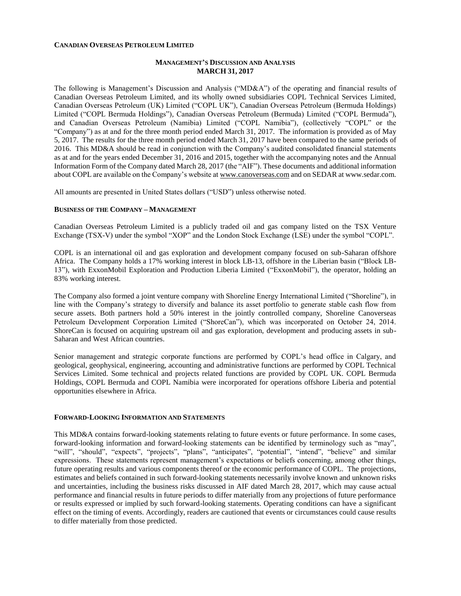#### **CANADIAN OVERSEAS PETROLEUM LIMITED**

### **MANAGEMENT'S DISCUSSION AND ANALYSIS MARCH 31, 2017**

The following is Management's Discussion and Analysis ("MD&A") of the operating and financial results of Canadian Overseas Petroleum Limited, and its wholly owned subsidiaries COPL Technical Services Limited, Canadian Overseas Petroleum (UK) Limited ("COPL UK"), Canadian Overseas Petroleum (Bermuda Holdings) Limited ("COPL Bermuda Holdings"), Canadian Overseas Petroleum (Bermuda) Limited ("COPL Bermuda"), and Canadian Overseas Petroleum (Namibia) Limited ("COPL Namibia"), (collectively "COPL" or the "Company") as at and for the three month period ended March 31, 2017. The information is provided as of May 5, 2017. The results for the three month period ended March 31, 2017 have been compared to the same periods of 2016. This MD&A should be read in conjunction with the Company's audited consolidated financial statements as at and for the years ended December 31, 2016 and 2015, together with the accompanying notes and the Annual Information Form of the Company dated March 28, 2017 (the "AIF"). These documents and additional information about COPL are available on the Company's website a[t www.canoverseas.com](http://www.canoverseas.com/) and on SEDAR at [www.sedar.com.](http://www.sedar.com/)

All amounts are presented in United States dollars ("USD") unless otherwise noted.

#### **BUSINESS OF THE COMPANY – MANAGEMENT**

Canadian Overseas Petroleum Limited is a publicly traded oil and gas company listed on the TSX Venture Exchange (TSX-V) under the symbol "XOP" and the London Stock Exchange (LSE) under the symbol "COPL".

COPL is an international oil and gas exploration and development company focused on sub-Saharan offshore Africa. The Company holds a 17% working interest in block LB-13, offshore in the Liberian basin ("Block LB-13"), with ExxonMobil Exploration and Production Liberia Limited ("ExxonMobil"), the operator, holding an 83% working interest.

The Company also formed a joint venture company with Shoreline Energy International Limited ("Shoreline"), in line with the Company's strategy to diversify and balance its asset portfolio to generate stable cash flow from secure assets. Both partners hold a 50% interest in the jointly controlled company, Shoreline Canoverseas Petroleum Development Corporation Limited ("ShoreCan"), which was incorporated on October 24, 2014. ShoreCan is focused on acquiring upstream oil and gas exploration, development and producing assets in sub-Saharan and West African countries.

Senior management and strategic corporate functions are performed by COPL's head office in Calgary, and geological, geophysical, engineering, accounting and administrative functions are performed by COPL Technical Services Limited. Some technical and projects related functions are provided by COPL UK. COPL Bermuda Holdings, COPL Bermuda and COPL Namibia were incorporated for operations offshore Liberia and potential opportunities elsewhere in Africa.

#### **FORWARD-LOOKING INFORMATION AND STATEMENTS**

This MD&A contains forward-looking statements relating to future events or future performance. In some cases, forward-looking information and forward-looking statements can be identified by terminology such as "may", "will", "should", "expects", "projects", "plans", "anticipates", "potential", "intend", "believe" and similar expressions. These statements represent management's expectations or beliefs concerning, among other things, future operating results and various components thereof or the economic performance of COPL. The projections, estimates and beliefs contained in such forward-looking statements necessarily involve known and unknown risks and uncertainties, including the business risks discussed in AIF dated March 28, 2017, which may cause actual performance and financial results in future periods to differ materially from any projections of future performance or results expressed or implied by such forward-looking statements. Operating conditions can have a significant effect on the timing of events. Accordingly, readers are cautioned that events or circumstances could cause results to differ materially from those predicted.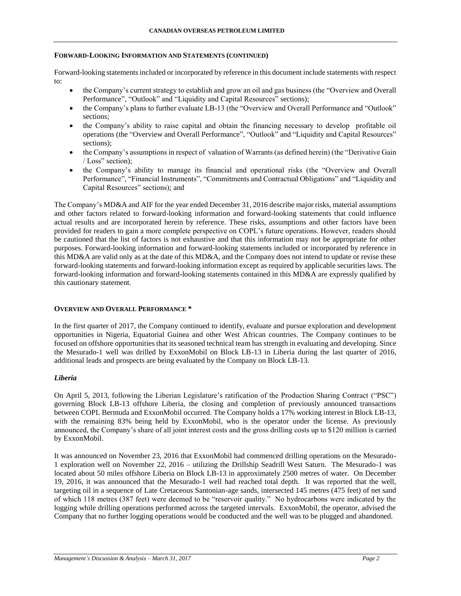#### **FORWARD-LOOKING INFORMATION AND STATEMENTS (CONTINUED)**

Forward-looking statements included or incorporated by reference in this document include statements with respect to:

- the Company's current strategy to establish and grow an oil and gas business (the "Overview and Overall Performance", "Outlook" and "Liquidity and Capital Resources" sections);
- the Company's plans to further evaluate LB-13 (the "Overview and Overall Performance and "Outlook" sections;
- the Company's ability to raise capital and obtain the financing necessary to develop profitable oil operations (the "Overview and Overall Performance", "Outlook" and "Liquidity and Capital Resources" sections);
- the Company's assumptions in respect of valuation of Warrants (as defined herein) (the "Derivative Gain / Loss" section);
- the Company's ability to manage its financial and operational risks (the "Overview and Overall Performance", "Financial Instruments", "Commitments and Contractual Obligations" and "Liquidity and Capital Resources" sections); and

The Company's MD&A and AIF for the year ended December 31, 2016 describe major risks, material assumptions and other factors related to forward-looking information and forward-looking statements that could influence actual results and are incorporated herein by reference. These risks, assumptions and other factors have been provided for readers to gain a more complete perspective on COPL's future operations. However, readers should be cautioned that the list of factors is not exhaustive and that this information may not be appropriate for other purposes. Forward-looking information and forward-looking statements included or incorporated by reference in this MD&A are valid only as at the date of this MD&A, and the Company does not intend to update or revise these forward-looking statements and forward-looking information except as required by applicable securities laws. The forward-looking information and forward-looking statements contained in this MD&A are expressly qualified by this cautionary statement.

#### **OVERVIEW AND OVERALL PERFORMANCE \***

In the first quarter of 2017, the Company continued to identify, evaluate and pursue exploration and development opportunities in Nigeria, Equatorial Guinea and other West African countries. The Company continues to be focused on offshore opportunities that its seasoned technical team has strength in evaluating and developing. Since the Mesurado-1 well was drilled by ExxonMobil on Block LB-13 in Liberia during the last quarter of 2016, additional leads and prospects are being evaluated by the Company on Block LB-13.

#### *Liberia*

On April 5, 2013, following the Liberian Legislature's ratification of the Production Sharing Contract ("PSC") governing Block LB-13 offshore Liberia, the closing and completion of previously announced transactions between COPL Bermuda and ExxonMobil occurred. The Company holds a 17% working interest in Block LB-13, with the remaining 83% being held by ExxonMobil, who is the operator under the license. As previously announced, the Company's share of all joint interest costs and the gross drilling costs up to \$120 million is carried by ExxonMobil.

It was announced on November 23, 2016 that ExxonMobil had commenced drilling operations on the Mesurado-1 exploration well on November 22, 2016 – utilizing the Drillship Seadrill West Saturn. The Mesurado-1 was located about 50 miles offshore Liberia on Block LB-13 in approximately 2500 metres of water. On December 19, 2016, it was announced that the Mesurado-1 well had reached total depth. It was reported that the well, targeting oil in a sequence of Late Cretaceous Santonian-age sands, intersected 145 metres (475 feet) of net sand of which 118 metres (387 feet) were deemed to be "reservoir quality." No hydrocarbons were indicated by the logging while drilling operations performed across the targeted intervals. ExxonMobil, the operator, advised the Company that no further logging operations would be conducted and the well was to be plugged and abandoned.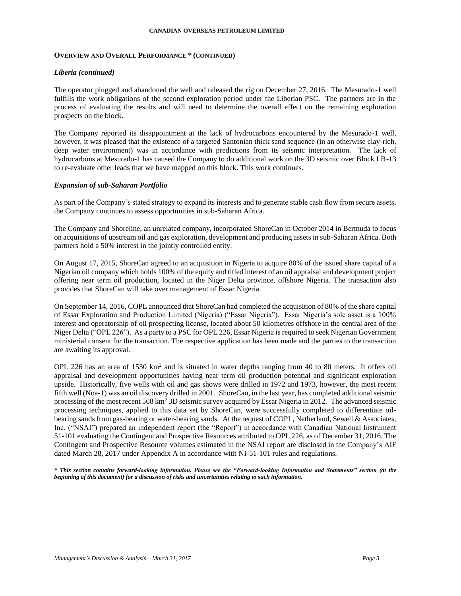#### **OVERVIEW AND OVERALL PERFORMANCE \* (CONTINUED)**

#### *Liberia (continued)*

The operator plugged and abandoned the well and released the rig on December 27, 2016. The Mesurado-1 well fulfills the work obligations of the second exploration period under the Liberian PSC. The partners are in the process of evaluating the results and will need to determine the overall effect on the remaining exploration prospects on the block.

The Company reported its disappointment at the lack of hydrocarbons encountered by the Mesurado-1 well, however, it was pleased that the existence of a targeted Santonian thick sand sequence (in an otherwise clay-rich, deep water environment) was in accordance with predictions from its seismic interpretation. The lack of hydrocarbons at Mesurado-1 has caused the Company to do additional work on the 3D seismic over Block LB-13 to re-evaluate other leads that we have mapped on this block. This work continues.

### *Expansion of sub-Saharan Portfolio*

As part of the Company's stated strategy to expand its interests and to generate stable cash flow from secure assets, the Company continues to assess opportunities in sub-Saharan Africa.

The Company and Shoreline, an unrelated company, incorporated ShoreCan in October 2014 in Bermuda to focus on acquisitions of upstream oil and gas exploration, development and producing assets in sub-Saharan Africa. Both partners hold a 50% interest in the jointly controlled entity.

On August 17, 2015, ShoreCan agreed to an acquisition in Nigeria to acquire 80% of the issued share capital of a Nigerian oil company which holds 100% of the equity and titled interest of an oil appraisal and development project offering near term oil production, located in the Niger Delta province, offshore Nigeria. The transaction also provides that ShoreCan will take over management of Essar Nigeria.

On September 14, 2016, COPL announced that ShoreCan had completed the acquisition of 80% of the share capital of Essar Exploration and Production Limited (Nigeria) ("Essar Nigeria"). Essar Nigeria's sole asset is a 100% interest and operatorship of oil prospecting license, located about 50 kilometres offshore in the central area of the Niger Delta ("OPL 226"). As a party to a PSC for OPL 226, Essar Nigeria is required to seek Nigerian Government ministerial consent for the transaction. The respective application has been made and the parties to the transaction are awaiting its approval.

OPL 226 has an area of 1530 km<sup>2</sup> and is situated in water depths ranging from 40 to 80 meters. It offers oil appraisal and development opportunities having near term oil production potential and significant exploration upside. Historically, five wells with oil and gas shows were drilled in 1972 and 1973, however, the most recent fifth well (Noa-1) was an oil discovery drilled in 2001. ShoreCan, in the last year, has completed additional seismic processing of the most recent 568 km<sup>2</sup> 3D seismic survey acquired by Essar Nigeria in 2012. The advanced seismic processing techniques, applied to this data set by ShoreCan, were successfully completed to differentiate oilbearing sands from gas-bearing or water-bearing sands. At the request of COPL, Netherland, Sewell & Associates, Inc. ("NSAI") prepared an independent report (the "Report") in accordance with Canadian National Instrument 51-101 evaluating the Contingent and Prospective Resources attributed to OPL 226, as of December 31, 2016. The Contingent and Prospective Resource volumes estimated in the NSAI report are disclosed in the Company's AIF dated March 28, 2017 under Appendix A in accordance with NI-51-101 rules and regulations.

*\* This section contains forward-looking information. Please see the "Forward-looking Information and Statements" section (at the beginning of this document) for a discussion of risks and uncertainties relating to such information.*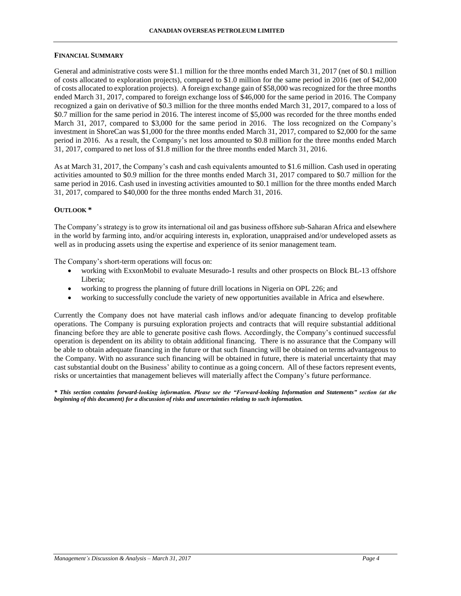#### **CANADIAN OVERSEAS PETROLEUM LIMITED**

#### **FINANCIAL SUMMARY**

General and administrative costs were \$1.1 million for the three months ended March 31, 2017 (net of \$0.1 million of costs allocated to exploration projects), compared to \$1.0 million for the same period in 2016 (net of \$42,000 of costs allocated to exploration projects). A foreign exchange gain of \$58,000 was recognized for the three months ended March 31, 2017, compared to foreign exchange loss of \$46,000 for the same period in 2016. The Company recognized a gain on derivative of \$0.3 million for the three months ended March 31, 2017, compared to a loss of \$0.7 million for the same period in 2016. The interest income of \$5,000 was recorded for the three months ended March 31, 2017, compared to \$3,000 for the same period in 2016. The loss recognized on the Company's investment in ShoreCan was \$1,000 for the three months ended March 31, 2017, compared to \$2,000 for the same period in 2016. As a result, the Company's net loss amounted to \$0.8 million for the three months ended March 31, 2017, compared to net loss of \$1.8 million for the three months ended March 31, 2016.

As at March 31, 2017, the Company's cash and cash equivalents amounted to \$1.6 million. Cash used in operating activities amounted to \$0.9 million for the three months ended March 31, 2017 compared to \$0.7 million for the same period in 2016. Cash used in investing activities amounted to \$0.1 million for the three months ended March 31, 2017, compared to \$40,000 for the three months ended March 31, 2016.

#### **OUTLOOK \***

The Company's strategy is to grow its international oil and gas business offshore sub-Saharan Africa and elsewhere in the world by farming into, and/or acquiring interests in, exploration, unappraised and/or undeveloped assets as well as in producing assets using the expertise and experience of its senior management team.

The Company's short-term operations will focus on:

- working with ExxonMobil to evaluate Mesurado-1 results and other prospects on Block BL-13 offshore Liberia;
- working to progress the planning of future drill locations in Nigeria on OPL 226; and
- working to successfully conclude the variety of new opportunities available in Africa and elsewhere.

Currently the Company does not have material cash inflows and/or adequate financing to develop profitable operations. The Company is pursuing exploration projects and contracts that will require substantial additional financing before they are able to generate positive cash flows. Accordingly, the Company's continued successful operation is dependent on its ability to obtain additional financing. There is no assurance that the Company will be able to obtain adequate financing in the future or that such financing will be obtained on terms advantageous to the Company. With no assurance such financing will be obtained in future, there is material uncertainty that may cast substantial doubt on the Business' ability to continue as a going concern. All of these factors represent events, risks or uncertainties that management believes will materially affect the Company's future performance.

*\* This section contains forward-looking information. Please see the "Forward-looking Information and Statements" section (at the beginning of this document) for a discussion of risks and uncertainties relating to such information.*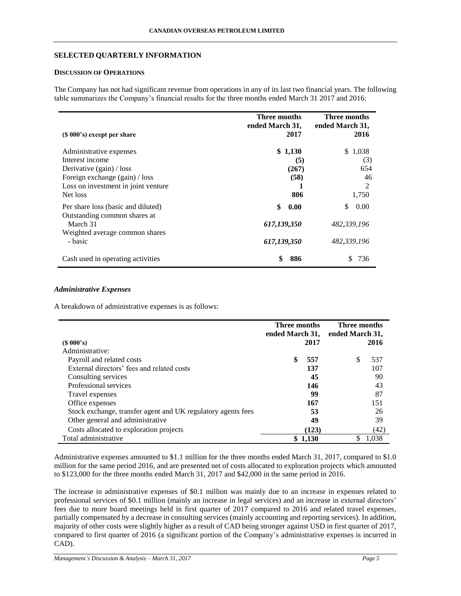## **SELECTED QUARTERLY INFORMATION**

## **DISCUSSION OF OPERATIONS**

The Company has not had significant revenue from operations in any of its last two financial years. The following table summarizes the Company's financial results for the three months ended March 31 2017 and 2016:

| $(S 000's)$ except per share                                                                                                                                  | Three months<br>ended March 31,<br>2017  | Three months<br>ended March 31,<br>2016   |
|---------------------------------------------------------------------------------------------------------------------------------------------------------------|------------------------------------------|-------------------------------------------|
| Administrative expenses<br>Interest income<br>Derivative $(gain) / loss$<br>Foreign exchange (gain) / loss<br>Loss on investment in joint venture<br>Net loss | \$1,130<br>(5)<br>(267)<br>(58)<br>806   | \$1,038<br>(3)<br>654<br>46<br>2<br>1,750 |
| Per share loss (basic and diluted)<br>Outstanding common shares at<br>March 31<br>Weighted average common shares<br>- basic                                   | \$<br>0.00<br>617,139,350<br>617,139,350 | \$<br>0.00<br>482.339.196<br>482.339.196  |
| Cash used in operating activities                                                                                                                             | \$<br>886                                | 736                                       |

### *Administrative Expenses*

 $\blacksquare$ 

A breakdown of administrative expenses is as follows:

|                                                              | Three months<br>ended March 31, |         | Three months<br>ended March 31, |       |
|--------------------------------------------------------------|---------------------------------|---------|---------------------------------|-------|
| (S 000's)                                                    |                                 | 2017    |                                 | 2016  |
| Administrative:                                              |                                 |         |                                 |       |
| Payroll and related costs                                    |                                 | 557     | S                               | 537   |
| External directors' fees and related costs                   |                                 | 137     |                                 | 107   |
| Consulting services                                          |                                 | 45      |                                 | 90    |
| Professional services                                        |                                 | 146     |                                 | 43    |
| Travel expenses                                              |                                 | 99      |                                 | 87    |
| Office expenses                                              |                                 | 167     |                                 | 151   |
| Stock exchange, transfer agent and UK regulatory agents fees |                                 | 53      |                                 | 26    |
| Other general and administrative                             |                                 | 49      |                                 | 39    |
| Costs allocated to exploration projects                      |                                 | (123)   |                                 | (42)  |
| Total administrative                                         |                                 | \$1.130 |                                 | 1.038 |

Administrative expenses amounted to \$1.1 million for the three months ended March 31, 2017, compared to \$1.0 million for the same period 2016, and are presented net of costs allocated to exploration projects which amounted to \$123,000 for the three months ended March 31, 2017 and \$42,000 in the same period in 2016.

The increase in administrative expenses of \$0.1 million was mainly due to an increase in expenses related to professional services of \$0.1 million (mainly an increase in legal services) and an increase in external directors' fees due to more board meetings held in first quarter of 2017 compared to 2016 and related travel expenses, partially compensated by a decrease in consulting services (mainly accounting and reporting services). In addition, majority of other costs were slightly higher as a result of CAD being stronger against USD in first quarter of 2017, compared to first quarter of 2016 (a significant portion of the Company's administrative expenses is incurred in CAD).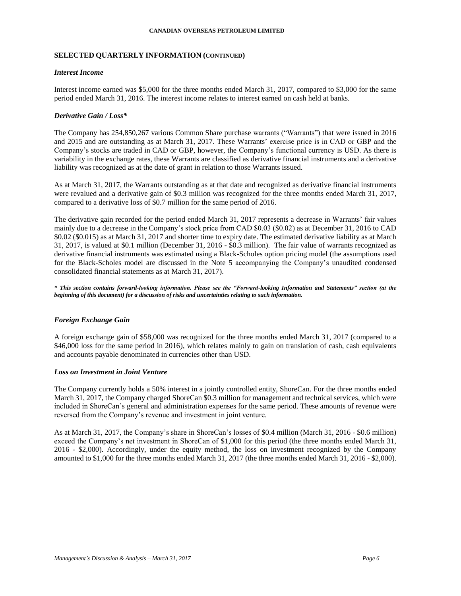## **SELECTED QUARTERLY INFORMATION (CONTINUED)**

### *Interest Income*

Interest income earned was \$5,000 for the three months ended March 31, 2017, compared to \$3,000 for the same period ended March 31, 2016. The interest income relates to interest earned on cash held at banks.

### *Derivative Gain / Loss\**

The Company has 254,850,267 various Common Share purchase warrants ("Warrants") that were issued in 2016 and 2015 and are outstanding as at March 31, 2017. These Warrants' exercise price is in CAD or GBP and the Company's stocks are traded in CAD or GBP, however, the Company's functional currency is USD. As there is variability in the exchange rates, these Warrants are classified as derivative financial instruments and a derivative liability was recognized as at the date of grant in relation to those Warrants issued.

As at March 31, 2017, the Warrants outstanding as at that date and recognized as derivative financial instruments were revalued and a derivative gain of \$0.3 million was recognized for the three months ended March 31, 2017, compared to a derivative loss of \$0.7 million for the same period of 2016.

The derivative gain recorded for the period ended March 31, 2017 represents a decrease in Warrants' fair values mainly due to a decrease in the Company's stock price from CAD \$0.03 (\$0.02) as at December 31, 2016 to CAD \$0.02 (\$0.015) as at March 31, 2017 and shorter time to expiry date. The estimated derivative liability as at March 31, 2017, is valued at \$0.1 million (December 31, 2016 - \$0.3 million). The fair value of warrants recognized as derivative financial instruments was estimated using a Black-Scholes option pricing model (the assumptions used for the Black-Scholes model are discussed in the Note 5 accompanying the Company's unaudited condensed consolidated financial statements as at March 31, 2017).

*\* This section contains forward-looking information. Please see the "Forward-looking Information and Statements" section (at the beginning of this document) for a discussion of risks and uncertainties relating to such information.*

## *Foreign Exchange Gain*

A foreign exchange gain of \$58,000 was recognized for the three months ended March 31, 2017 (compared to a \$46,000 loss for the same period in 2016), which relates mainly to gain on translation of cash, cash equivalents and accounts payable denominated in currencies other than USD.

### *Loss on Investment in Joint Venture*

The Company currently holds a 50% interest in a jointly controlled entity, ShoreCan. For the three months ended March 31, 2017, the Company charged ShoreCan \$0.3 million for management and technical services, which were included in ShoreCan's general and administration expenses for the same period. These amounts of revenue were reversed from the Company's revenue and investment in joint venture.

As at March 31, 2017, the Company's share in ShoreCan's losses of \$0.4 million (March 31, 2016 - \$0.6 million) exceed the Company's net investment in ShoreCan of \$1,000 for this period (the three months ended March 31, 2016 - \$2,000). Accordingly, under the equity method, the loss on investment recognized by the Company amounted to \$1,000 for the three months ended March 31, 2017 (the three months ended March 31, 2016 - \$2,000).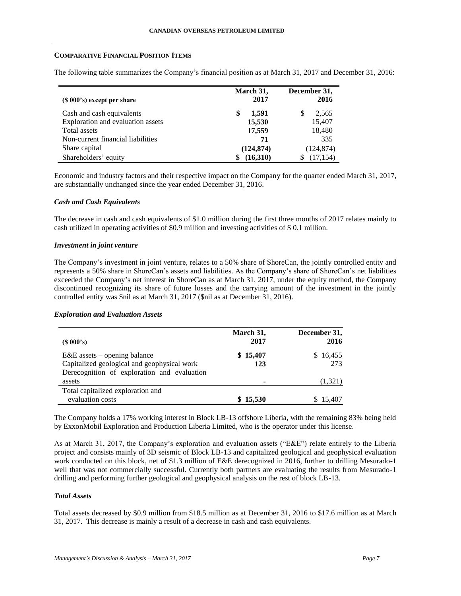### **COMPARATIVE FINANCIAL POSITION ITEMS**

The following table summarizes the Company's financial position as at March 31, 2017 and December 31, 2016:

|                                   | March 31,   | December 31,   |
|-----------------------------------|-------------|----------------|
| $(S 000's)$ except per share      | 2017        | 2016           |
| Cash and cash equivalents         | 1.591<br>\$ | S<br>2,565     |
| Exploration and evaluation assets | 15,530      | 15,407         |
| Total assets                      | 17,559      | 18,480         |
| Non-current financial liabilities | 71          | 335            |
| Share capital                     | (124, 874)  | (124, 874)     |
| Shareholders' equity              | (16,310)    | (17, 154)<br>S |

Economic and industry factors and their respective impact on the Company for the quarter ended March 31, 2017, are substantially unchanged since the year ended December 31, 2016.

#### *Cash and Cash Equivalents*

The decrease in cash and cash equivalents of \$1.0 million during the first three months of 2017 relates mainly to cash utilized in operating activities of \$0.9 million and investing activities of \$ 0.1 million.

#### *Investment in joint venture*

The Company's investment in joint venture, relates to a 50% share of ShoreCan, the jointly controlled entity and represents a 50% share in ShoreCan's assets and liabilities. As the Company's share of ShoreCan's net liabilities exceeded the Company's net interest in ShoreCan as at March 31, 2017, under the equity method, the Company discontinued recognizing its share of future losses and the carrying amount of the investment in the jointly controlled entity was \$nil as at March 31, 2017 (\$nil as at December 31, 2016).

### *Exploration and Evaluation Assets*

| $(S\ 000's)$                                                                               | March 31,<br>2017 | December 31,<br>2016 |
|--------------------------------------------------------------------------------------------|-------------------|----------------------|
| $E&E$ assets – opening balance                                                             | \$15,407          | \$16,455             |
| Capitalized geological and geophysical work<br>Derecognition of exploration and evaluation | 123               | 273                  |
| assets                                                                                     |                   | (1,321)              |
| Total capitalized exploration and                                                          |                   |                      |
| evaluation costs                                                                           | \$15,530          | \$15,407             |

The Company holds a 17% working interest in Block LB-13 offshore Liberia, with the remaining 83% being held by ExxonMobil Exploration and Production Liberia Limited, who is the operator under this license.

As at March 31, 2017, the Company's exploration and evaluation assets ("E&E") relate entirely to the Liberia project and consists mainly of 3D seismic of Block LB-13 and capitalized geological and geophysical evaluation work conducted on this block, net of \$1.3 million of E&E derecognized in 2016, further to drilling Mesurado-1 well that was not commercially successful. Currently both partners are evaluating the results from Mesurado-1 drilling and performing further geological and geophysical analysis on the rest of block LB-13.

## *Total Assets*

Total assets decreased by \$0.9 million from \$18.5 million as at December 31, 2016 to \$17.6 million as at March 31, 2017. This decrease is mainly a result of a decrease in cash and cash equivalents.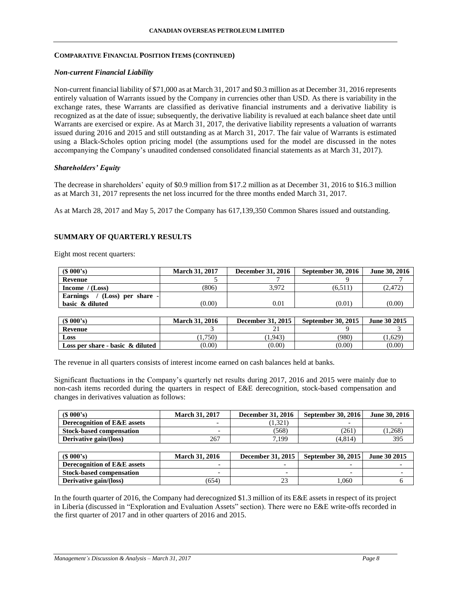### **COMPARATIVE FINANCIAL POSITION ITEMS (CONTINUED)**

### *Non-current Financial Liability*

Non-current financial liability of \$71,000 as at March 31, 2017 and \$0.3 million as at December 31, 2016 represents entirely valuation of Warrants issued by the Company in currencies other than USD. As there is variability in the exchange rates, these Warrants are classified as derivative financial instruments and a derivative liability is recognized as at the date of issue; subsequently, the derivative liability is revalued at each balance sheet date until Warrants are exercised or expire. As at March 31, 2017, the derivative liability represents a valuation of warrants issued during 2016 and 2015 and still outstanding as at March 31, 2017. The fair value of Warrants is estimated using a Black-Scholes option pricing model (the assumptions used for the model are discussed in the notes accompanying the Company's unaudited condensed consolidated financial statements as at March 31, 2017).

### *Shareholders' Equity*

The decrease in shareholders' equity of \$0.9 million from \$17.2 million as at December 31, 2016 to \$16.3 million as at March 31, 2017 represents the net loss incurred for the three months ended March 31, 2017.

As at March 28, 2017 and May 5, 2017 the Company has 617,139,350 Common Shares issued and outstanding.

## **SUMMARY OF QUARTERLY RESULTS**

Eight most recent quarters:

| $(S\ 000's)$                              | <b>March 31, 2017</b> | <b>December 31, 2016</b> | <b>September 30, 2016</b> | <b>June 30, 2016</b> |
|-------------------------------------------|-----------------------|--------------------------|---------------------------|----------------------|
| Revenue                                   |                       |                          |                           |                      |
| Income $/(Loss)$                          | (806)                 | 3.972                    | (6.511)                   | (2,472)              |
| <b>Earnings</b><br>$/$ (Loss) per share - |                       |                          |                           |                      |
| basic & diluted                           | (0.00)                | $0.01\,$                 | (0.01                     | (0.00)               |

| (S 000's)                           | <b>March 31, 2016</b> | December 31, 2015 | <b>September 30, 2015</b> | June 30 2015 |
|-------------------------------------|-----------------------|-------------------|---------------------------|--------------|
| <b>Revenue</b>                      |                       |                   |                           |              |
| Loss                                | 1.750                 | 1,943             | (980)                     | 1,629        |
| Loss per share - basic $\&$ diluted | (0.00)                | (0.00)            | (0.00)                    | (0.00)       |

The revenue in all quarters consists of interest income earned on cash balances held at banks.

Significant fluctuations in the Company's quarterly net results during 2017, 2016 and 2015 were mainly due to non-cash items recorded during the quarters in respect of E&E derecognition, stock-based compensation and changes in derivatives valuation as follows:

| (S 000's)                              | <b>March 31, 2017</b> | <b>December 31, 2016</b> | <b>September 30, 2016</b> | June 30, 2016       |
|----------------------------------------|-----------------------|--------------------------|---------------------------|---------------------|
| <b>Derecognition of E&amp;E assets</b> |                       | (1,321)                  |                           |                     |
| <b>Stock-based compensation</b>        |                       | (568)                    | (261)                     | (1,268)             |
| Derivative gain/(loss)                 | 267                   | 7.199                    | (4.814)                   | 395                 |
|                                        |                       |                          |                           |                     |
| (S 000's)                              | <b>March 31, 2016</b> | December 31, 2015        | <b>September 30, 2015</b> | <b>June 30 2015</b> |
| Derecognition of E&E assets            |                       | $\overline{\phantom{0}}$ | -                         |                     |

| <b>BWCK-Dascu Compensation</b>                                                                                        |       |      |  |
|-----------------------------------------------------------------------------------------------------------------------|-------|------|--|
| Derivative gain/(loss)                                                                                                | (654) | .060 |  |
|                                                                                                                       |       |      |  |
| In the fourth quarter of 2016, the Company had derecognized \$1.3 million of its E&E assets in respect of its project |       |      |  |
| .                                                                                                                     |       |      |  |

in Liberia (discussed in "Exploration and Evaluation Assets" section). There were no E&E write-offs recorded in the first quarter of 2017 and in other quarters of 2016 and 2015.

 $Stock$ -based compensation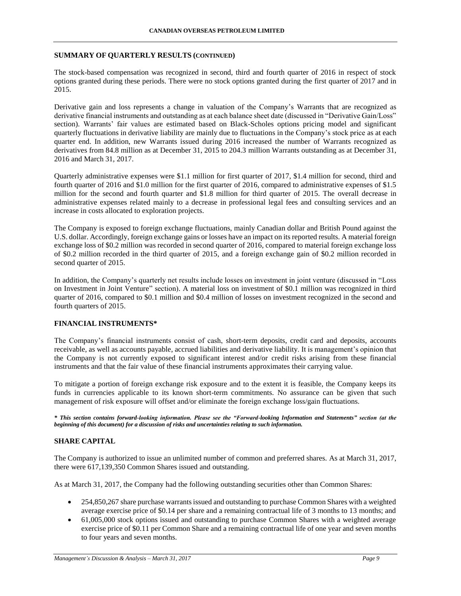### **SUMMARY OF QUARTERLY RESULTS (CONTINUED)**

The stock-based compensation was recognized in second, third and fourth quarter of 2016 in respect of stock options granted during these periods. There were no stock options granted during the first quarter of 2017 and in 2015.

Derivative gain and loss represents a change in valuation of the Company's Warrants that are recognized as derivative financial instruments and outstanding as at each balance sheet date (discussed in "Derivative Gain/Loss" section). Warrants' fair values are estimated based on Black-Scholes options pricing model and significant quarterly fluctuations in derivative liability are mainly due to fluctuations in the Company's stock price as at each quarter end. In addition, new Warrants issued during 2016 increased the number of Warrants recognized as derivatives from 84.8 million as at December 31, 2015 to 204.3 million Warrants outstanding as at December 31, 2016 and March 31, 2017.

Quarterly administrative expenses were \$1.1 million for first quarter of 2017, \$1.4 million for second, third and fourth quarter of 2016 and \$1.0 million for the first quarter of 2016, compared to administrative expenses of \$1.5 million for the second and fourth quarter and \$1.8 million for third quarter of 2015. The overall decrease in administrative expenses related mainly to a decrease in professional legal fees and consulting services and an increase in costs allocated to exploration projects.

The Company is exposed to foreign exchange fluctuations, mainly Canadian dollar and British Pound against the U.S. dollar. Accordingly, foreign exchange gains or losses have an impact on its reported results. A material foreign exchange loss of \$0.2 million was recorded in second quarter of 2016, compared to material foreign exchange loss of \$0.2 million recorded in the third quarter of 2015, and a foreign exchange gain of \$0.2 million recorded in second quarter of 2015.

In addition, the Company's quarterly net results include losses on investment in joint venture (discussed in "Loss on Investment in Joint Venture" section). A material loss on investment of \$0.1 million was recognized in third quarter of 2016, compared to \$0.1 million and \$0.4 million of losses on investment recognized in the second and fourth quarters of 2015.

## **FINANCIAL INSTRUMENTS\***

The Company's financial instruments consist of cash, short-term deposits, credit card and deposits, accounts receivable, as well as accounts payable, accrued liabilities and derivative liability. It is management's opinion that the Company is not currently exposed to significant interest and/or credit risks arising from these financial instruments and that the fair value of these financial instruments approximates their carrying value.

To mitigate a portion of foreign exchange risk exposure and to the extent it is feasible, the Company keeps its funds in currencies applicable to its known short-term commitments. No assurance can be given that such management of risk exposure will offset and/or eliminate the foreign exchange loss/gain fluctuations.

*\* This section contains forward-looking information. Please see the "Forward-looking Information and Statements" section (at the beginning of this document) for a discussion of risks and uncertainties relating to such information.*

## **SHARE CAPITAL**

The Company is authorized to issue an unlimited number of common and preferred shares. As at March 31, 2017, there were 617,139,350 Common Shares issued and outstanding.

As at March 31, 2017, the Company had the following outstanding securities other than Common Shares:

- 254,850,267 share purchase warrants issued and outstanding to purchase Common Shares with a weighted average exercise price of \$0.14 per share and a remaining contractual life of 3 months to 13 months; and
- 61,005,000 stock options issued and outstanding to purchase Common Shares with a weighted average exercise price of \$0.11 per Common Share and a remaining contractual life of one year and seven months to four years and seven months.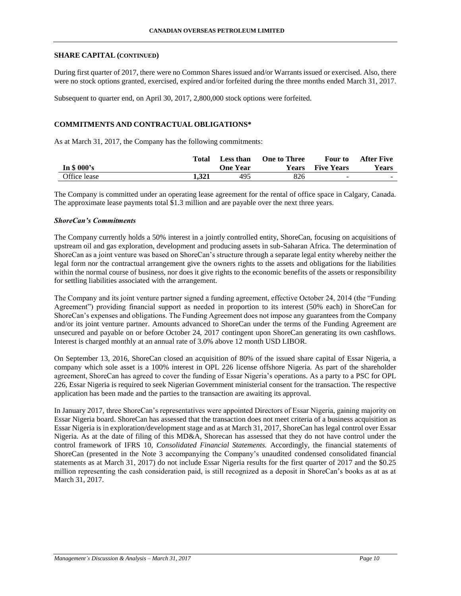### **SHARE CAPITAL (CONTINUED)**

During first quarter of 2017, there were no Common Shares issued and/or Warrants issued or exercised. Also, there were no stock options granted, exercised, expired and/or forfeited during the three months ended March 31, 2017.

Subsequent to quarter end, on April 30, 2017, 2,800,000 stock options were forfeited.

## **COMMITMENTS AND CONTRACTUAL OBLIGATIONS\***

As at March 31, 2017, the Company has the following commitments:

|              | Total | Less than       | <b>One to Three</b> | Four to           | <b>After Five</b> |
|--------------|-------|-----------------|---------------------|-------------------|-------------------|
| In $$000's$  |       | <b>One Year</b> | Years               | <b>Five Years</b> | <b>Years</b>      |
| Office lease | 1.321 | 495             | 826                 | <u>. на с</u>     | $\sim$            |

The Company is committed under an operating lease agreement for the rental of office space in Calgary, Canada. The approximate lease payments total \$1.3 million and are payable over the next three years.

#### *ShoreCan's Commitments*

The Company currently holds a 50% interest in a jointly controlled entity, ShoreCan, focusing on acquisitions of upstream oil and gas exploration, development and producing assets in sub-Saharan Africa. The determination of ShoreCan as a joint venture was based on ShoreCan's structure through a separate legal entity whereby neither the legal form nor the contractual arrangement give the owners rights to the assets and obligations for the liabilities within the normal course of business, nor does it give rights to the economic benefits of the assets or responsibility for settling liabilities associated with the arrangement.

The Company and its joint venture partner signed a funding agreement, effective October 24, 2014 (the "Funding Agreement") providing financial support as needed in proportion to its interest (50% each) in ShoreCan for ShoreCan's expenses and obligations. The Funding Agreement does not impose any guarantees from the Company and/or its joint venture partner. Amounts advanced to ShoreCan under the terms of the Funding Agreement are unsecured and payable on or before October 24, 2017 contingent upon ShoreCan generating its own cashflows. Interest is charged monthly at an annual rate of 3.0% above 12 month USD LIBOR.

On September 13, 2016, ShoreCan closed an acquisition of 80% of the issued share capital of Essar Nigeria, a company which sole asset is a 100% interest in OPL 226 license offshore Nigeria. As part of the shareholder agreement, ShoreCan has agreed to cover the funding of Essar Nigeria's operations. As a party to a PSC for OPL 226, Essar Nigeria is required to seek Nigerian Government ministerial consent for the transaction. The respective application has been made and the parties to the transaction are awaiting its approval.

In January 2017, three ShoreCan's representatives were appointed Directors of Essar Nigeria, gaining majority on Essar Nigeria board. ShoreCan has assessed that the transaction does not meet criteria of a business acquisition as Essar Nigeria is in exploration/development stage and as at March 31, 2017, ShoreCan has legal control over Essar Nigeria. As at the date of filing of this MD&A, Shorecan has assessed that they do not have control under the control framework of IFRS 10, *Consolidated Financial Statements.* Accordingly, the financial statements of ShoreCan (presented in the Note 3 accompanying the Company's unaudited condensed consolidated financial statements as at March 31, 2017) do not include Essar Nigeria results for the first quarter of 2017 and the \$0.25 million representing the cash consideration paid, is still recognized as a deposit in ShoreCan's books as at as at March 31, 2017.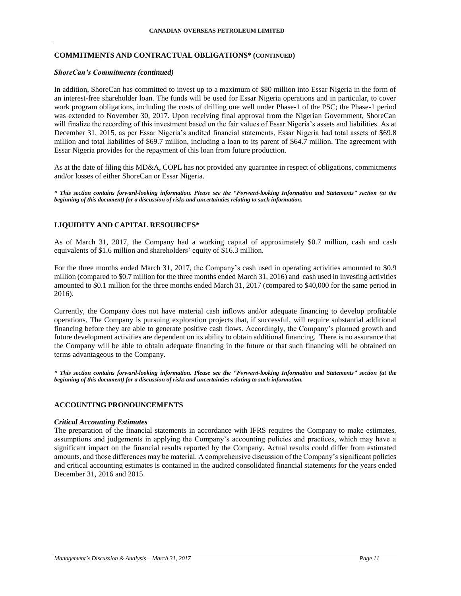## **COMMITMENTS AND CONTRACTUAL OBLIGATIONS\* (CONTINUED)**

#### *ShoreCan's Commitments (continued)*

In addition, ShoreCan has committed to invest up to a maximum of \$80 million into Essar Nigeria in the form of an interest-free shareholder loan. The funds will be used for Essar Nigeria operations and in particular, to cover work program obligations, including the costs of drilling one well under Phase-1 of the PSC; the Phase-1 period was extended to November 30, 2017. Upon receiving final approval from the Nigerian Government, ShoreCan will finalize the recording of this investment based on the fair values of Essar Nigeria's assets and liabilities. As at December 31, 2015, as per Essar Nigeria's audited financial statements, Essar Nigeria had total assets of \$69.8 million and total liabilities of \$69.7 million, including a loan to its parent of \$64.7 million. The agreement with Essar Nigeria provides for the repayment of this loan from future production.

As at the date of filing this MD&A, COPL has not provided any guarantee in respect of obligations, commitments and/or losses of either ShoreCan or Essar Nigeria.

*\* This section contains forward-looking information. Please see the "Forward-looking Information and Statements" section (at the beginning of this document) for a discussion of risks and uncertainties relating to such information.*

## **LIQUIDITY AND CAPITAL RESOURCES\***

As of March 31, 2017, the Company had a working capital of approximately \$0.7 million, cash and cash equivalents of \$1.6 million and shareholders' equity of \$16.3 million.

For the three months ended March 31, 2017, the Company's cash used in operating activities amounted to \$0.9 million (compared to \$0.7 million for the three months ended March 31, 2016) and cash used in investing activities amounted to \$0.1 million for the three months ended March 31, 2017 (compared to \$40,000 for the same period in 2016).

Currently, the Company does not have material cash inflows and/or adequate financing to develop profitable operations. The Company is pursuing exploration projects that, if successful, will require substantial additional financing before they are able to generate positive cash flows. Accordingly, the Company's planned growth and future development activities are dependent on its ability to obtain additional financing. There is no assurance that the Company will be able to obtain adequate financing in the future or that such financing will be obtained on terms advantageous to the Company.

*\* This section contains forward-looking information. Please see the "Forward-looking Information and Statements" section (at the beginning of this document) for a discussion of risks and uncertainties relating to such information.*

#### **ACCOUNTING PRONOUNCEMENTS**

#### *Critical Accounting Estimates*

The preparation of the financial statements in accordance with IFRS requires the Company to make estimates, assumptions and judgements in applying the Company's accounting policies and practices, which may have a significant impact on the financial results reported by the Company. Actual results could differ from estimated amounts, and those differences may be material. A comprehensive discussion of the Company's significant policies and critical accounting estimates is contained in the audited consolidated financial statements for the years ended December 31, 2016 and 2015.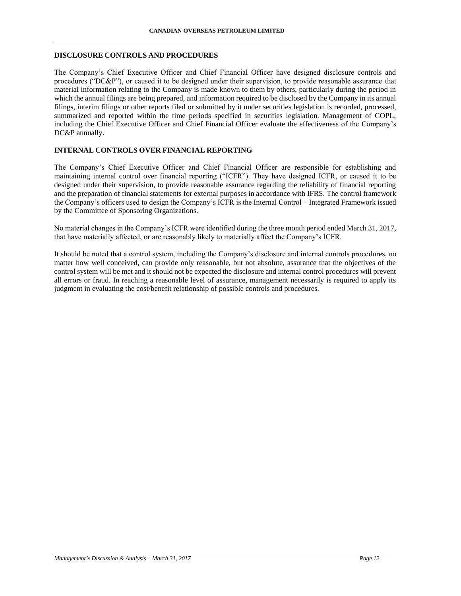### **DISCLOSURE CONTROLS AND PROCEDURES**

The Company's Chief Executive Officer and Chief Financial Officer have designed disclosure controls and procedures ("DC&P"), or caused it to be designed under their supervision, to provide reasonable assurance that material information relating to the Company is made known to them by others, particularly during the period in which the annual filings are being prepared, and information required to be disclosed by the Company in its annual filings, interim filings or other reports filed or submitted by it under securities legislation is recorded, processed, summarized and reported within the time periods specified in securities legislation. Management of COPL, including the Chief Executive Officer and Chief Financial Officer evaluate the effectiveness of the Company's DC&P annually.

## **INTERNAL CONTROLS OVER FINANCIAL REPORTING**

The Company's Chief Executive Officer and Chief Financial Officer are responsible for establishing and maintaining internal control over financial reporting ("ICFR"). They have designed ICFR, or caused it to be designed under their supervision, to provide reasonable assurance regarding the reliability of financial reporting and the preparation of financial statements for external purposes in accordance with IFRS. The control framework the Company's officers used to design the Company's ICFR is the Internal Control – Integrated Framework issued by the Committee of Sponsoring Organizations.

No material changes in the Company's ICFR were identified during the three month period ended March 31, 2017, that have materially affected, or are reasonably likely to materially affect the Company's ICFR.

It should be noted that a control system, including the Company's disclosure and internal controls procedures, no matter how well conceived, can provide only reasonable, but not absolute, assurance that the objectives of the control system will be met and it should not be expected the disclosure and internal control procedures will prevent all errors or fraud. In reaching a reasonable level of assurance, management necessarily is required to apply its judgment in evaluating the cost/benefit relationship of possible controls and procedures.